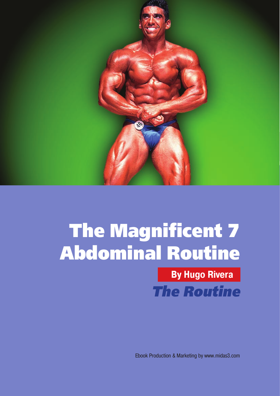

**By Hugo Rivera** *The Routine*

[Ebook Production & Marketing by www.midas3.com](http://www.midas3.com)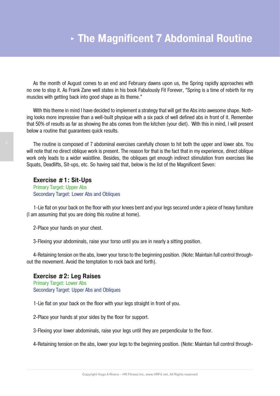As the month of August comes to an end and February dawns upon us, the Spring rapidly approaches with no one to stop it. As Frank Zane well states in his book Fabulously Fit Forever, "Spring is a time of rebirth for my muscles with getting back into good shape as its theme."

With this theme in mind I have decided to implement a strategy that will get the Abs into awesome shape. Nothing looks more impressive than a well-built physique with a six pack of well defined abs in front of it. Remember that 50% of results as far as showing the abs comes from the kitchen (your diet). With this in mind, I will present below a routine that guarantees quick results.

The routine is composed of 7 abdominal exercises carefully chosen to hit both the upper and lower abs. You will note that no direct oblique work is present. The reason for that is the fact that in my experience, direct oblique work only leads to a wider waistline. Besides, the obliques get enough indirect stimulation from exercises like Squats, Deadlifts, Sit-ups, etc. So having said that, below is the list of the Magnificent Seven:

**Exercise #1: Sit-Ups**  Primary Target: Upper Abs Secondary Target: Lower Abs and Obliques

1-Lie flat on your back on the floor with your knees bent and your legs secured under a piece of heavy furniture (I am assuming that you are doing this routine at home).

2-Place your hands on your chest.

3-Flexing your abdominals, raise your torso until you are in nearly a sitting position.

4-Retaining tension on the abs, lower your torso to the beginning position. (Note: Maintain full control throughout the movement. Avoid the temptation to rock back and forth).

#### **Exercise #2: Leg Raises**

Primary Target: Lower Abs Secondary Target: Upper Abs and Obliques

1-Lie flat on your back on the floor with your legs straight in front of you.

2-Place your hands at your sides by the floor for support.

3-Flexing your lower abdominals, raise your legs until they are perpendicular to the floor.

4-Retaining tension on the abs, lower your legs to the beginning position. (Note: Maintain full control through-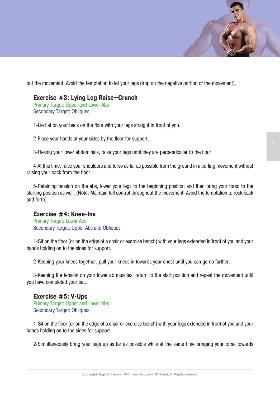out the movement. Avoid the temptation to let your legs drop on the negative portion of the movement).

## **Exercise #3: Lying Leg Raise+Crunch**

Primary Target: Upper and Lower Abs Secondary Target: Obliques

1-Lie flat on your back on the floor with your legs straight in front of you.

2-Place your hands at your sides by the floor for support.

3-Flexing your lower abdominals, raise your legs until they are perpendicular to the floor.

4-At this time, raise your shoulders and torso as far as possible from the ground in a curling movement without raising your back from the floor.

5-Retaining tension on the abs, lower your legs to the beginning position and then bring your torso to the starting position as well. (Note: Maintain full control throughout the movement. Avoid the temptation to rock back and forth).

## **Exercise #4: Knee-Ins**

Primary Target: Lower Abs Secondary Target: Upper Abs and Obliques

1-Sit on the floor (or on the edge of a chair or exercise bench) with your legs extended in front of you and your hands holding on to the sides for support.

2-Keeping your knees together, pull your knees in towards your chest until you can go no farther.

3-Keeping the tension on your lower ab muscles, return to the start position and repeat the movement until you have completed your set.

**Exercise #5: V-Ups**  Primary Target: Upper and Lower Abs Secondary Target: Obliques

1-Sit on the floor (or on the edge of a chair or exercise bench) with your legs extended in front of you and your hands holding on to the sides for support.

2-Simultaneously bring your legs up as far as possible while at the same time bringing your torso towards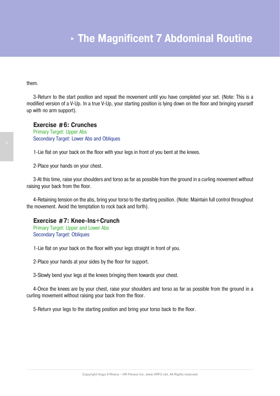them.

3-Return to the start position and repeat the movement until you have completed your set. (Note: This is a modified version of a V-Up. In a true V-Up, your starting position is lying down on the floor and bringing yourself up with no arm support).

#### **Exercise #6: Crunches**

Primary Target: Upper Abs Secondary Target: Lower Abs and Obliques

1-Lie flat on your back on the floor with your legs in front of you bent at the knees.

2-Place your hands on your chest.

3-At this time, raise your shoulders and torso as far as possible from the ground in a curling movement without raising your back from the floor.

4-Retaining tension on the abs, bring your torso to the starting position. (Note: Maintain full control throughout the movement. Avoid the temptation to rock back and forth).

#### **Exercise #7: Knee-Ins+Crunch**

Primary Target: Upper and Lower Abs Secondary Target: Obliques

1-Lie flat on your back on the floor with your legs straight in front of you.

2-Place your hands at your sides by the floor for support.

3-Slowly bend your legs at the knees bringing them towards your chest.

4-Once the knees are by your chest, raise your shoulders and torso as far as possible from the ground in a curling movement without raising your back from the floor.

5-Return your legs to the starting position and bring your torso back to the floor.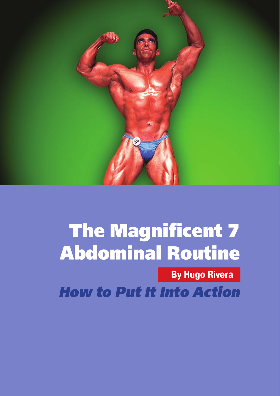

**By Hugo Rivera**

*How to Put It Into Action*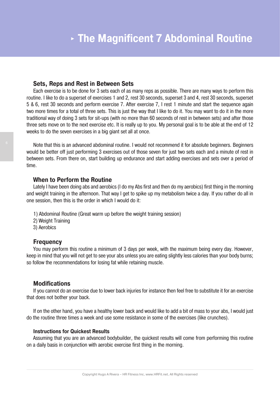#### **Sets, Reps and Rest in Between Sets**

Each exercise is to be done for 3 sets each of as many reps as possible. There are many ways to perform this routine. I like to do a superset of exercises 1 and 2, rest 30 seconds, superset 3 and 4, rest 30 seconds, superset 5 & 6, rest 30 seconds and perform exercise 7. After exercise 7, I rest 1 minute and start the sequence again two more times for a total of three sets. This is just the way that I like to do it. You may want to do it in the more traditional way of doing 3 sets for sit-ups (with no more than 60 seconds of rest in between sets) and after those three sets move on to the next exercise etc. It is really up to you. My personal goal is to be able at the end of 12 weeks to do the seven exercises in a big giant set all at once.

Note that this is an advanced abdominal routine. I would not recommend it for absolute beginners. Beginners would be better off just performing 3 exercises out of those seven for just two sets each and a minute of rest in between sets. From there on, start building up endurance and start adding exercises and sets over a period of time.

#### **When to Perform the Routine**

Lately I have been doing abs and aerobics (I do my Abs first and then do my aerobics) first thing in the morning and weight training in the afternoon. That way I get to spike up my metabolism twice a day. If you rather do all in one session, then this is the order in which I would do it:

- 1) Abdominal Routine (Great warm up before the weight training session)
- 2) Weight Training
- 3) Aerobics

## **Frequency**

You may perform this routine a minimum of 3 days per week, with the maximum being every day. However, keep in mind that you will not get to see your abs unless you are eating slightly less calories than your body burns; so follow the recommendations for losing fat while retaining muscle.

## **Modifications**

If you cannot do an exercise due to lower back injuries for instance then feel free to substitute it for an exercise that does not bother your back.

If on the other hand, you have a healthy lower back and would like to add a bit of mass to your abs, I would just do the routine three times a week and use some resistance in some of the exercises (like crunches).

#### **Instructions for Quickest Results**

Assuming that you are an advanced bodybuilder, the quickest results will come from performing this routine on a daily basis in conjunction with aerobic exercise first thing in the morning.